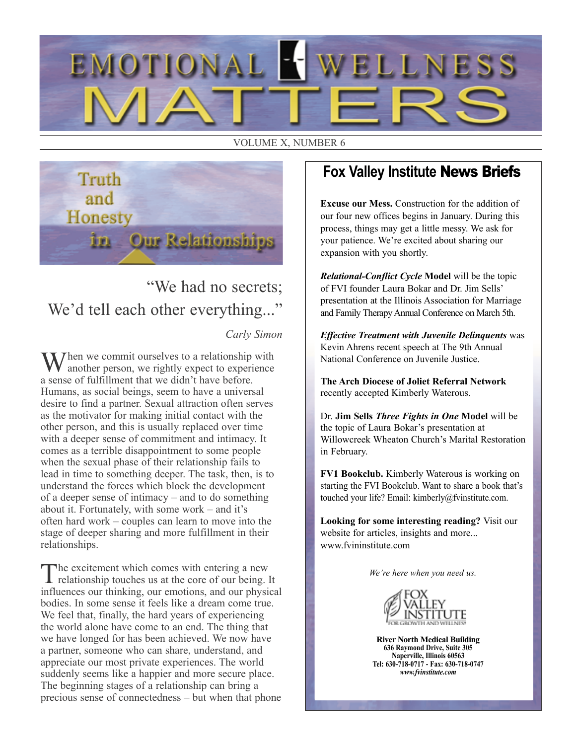

#### VOLUME X, NUMBER 6



"We had no secrets; We'd tell each other everything..."

– *Carly Simon*

Then we commit ourselves to a relationship with another person, we rightly expect to experience a sense of fulfillment that we didn't have before. Humans, as social beings, seem to have a universal desire to find a partner. Sexual attraction often serves as the motivator for making initial contact with the other person, and this is usually replaced over time with a deeper sense of commitment and intimacy. It comes as a terrible disappointment to some people when the sexual phase of their relationship fails to lead in time to something deeper. The task, then, is to understand the forces which block the development of a deeper sense of intimacy – and to do something about it. Fortunately, with some work – and it's often hard work – couples can learn to move into the stage of deeper sharing and more fulfillment in their relationships.

The excitement which comes with entering a new relationship touches us at the core of our being. It influences our thinking, our emotions, and our physical bodies. In some sense it feels like a dream come true. We feel that, finally, the hard years of experiencing the world alone have come to an end. The thing that we have longed for has been achieved. We now have a partner, someone who can share, understand, and appreciate our most private experiences. The world suddenly seems like a happier and more secure place. The beginning stages of a relationship can bring a precious sense of connectedness – but when that phone

## **Fox Valley Institute** News Briefs

**Excuse our Mess.** Construction for the addition of our four new offices begins in January. During this process, things may get a little messy. We ask for your patience. We're excited about sharing our expansion with you shortly.

*Relational-Conflict Cycle* **Model** will be the topic of FVI founder Laura Bokar and Dr. Jim Sells' presentation at the Illinois Association for Marriage and Family Therapy Annual Conference on March 5th.

*Effective Treatment with Juvenile Delinquents* was Kevin Ahrens recent speech at The 9th Annual National Conference on Juvenile Justice.

**The Arch Diocese of Joliet Referral Network** recently accepted Kimberly Waterous.

Dr. **Jim Sells** *Three Fights in One* **Model** will be the topic of Laura Bokar's presentation at Willowcreek Wheaton Church's Marital Restoration in February.

**FV1 Bookclub.** Kimberly Waterous is working on starting the FVI Bookclub. Want to share a book that's touched your life? Email: kimberly@fvinstitute.com.

**Looking for some interesting reading?** Visit our website for articles, insights and more... www.fvininstitute.com

*We're here when you need us.*



**River North Medical Building 636 Raymond Drive, Suite 305 Naperville, Illinois 60563 Tel: 630-718-0717 - Fax: 630-718-0747** *www.fvinstitute.com*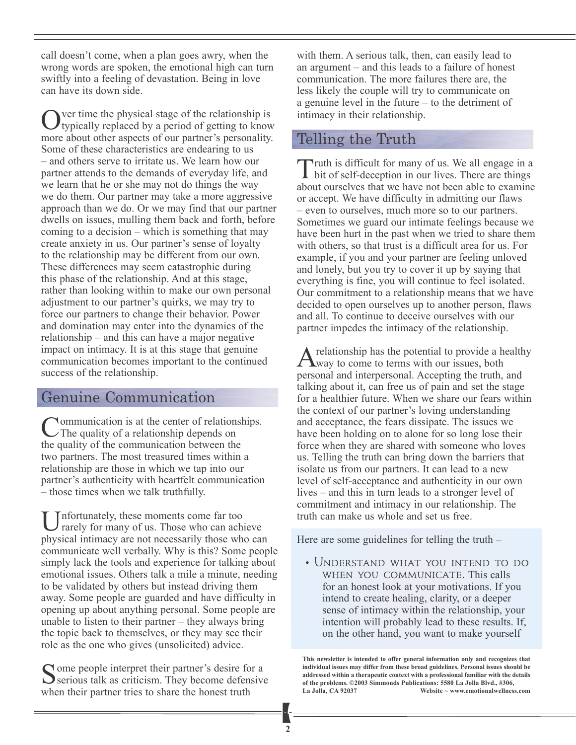call doesn't come, when a plan goes awry, when the wrong words are spoken, the emotional high can turn swiftly into a feeling of devastation. Being in love can have its down side.

Over time the physical stage of the relationship is typically replaced by a period of getting to know more about other aspects of our partner's personality. Some of these characteristics are endearing to us – and others serve to irritate us. We learn how our partner attends to the demands of everyday life, and we learn that he or she may not do things the way we do them. Our partner may take a more aggressive approach than we do. Or we may find that our partner dwells on issues, mulling them back and forth, before coming to a decision – which is something that may create anxiety in us. Our partner's sense of loyalty to the relationship may be different from our own. These differences may seem catastrophic during this phase of the relationship. And at this stage, rather than looking within to make our own personal adjustment to our partner's quirks, we may try to force our partners to change their behavior. Power and domination may enter into the dynamics of the relationship – and this can have a major negative impact on intimacy. It is at this stage that genuine communication becomes important to the continued success of the relationship.

## Genuine Communication

**Nommunication is at the center of relationships.** The quality of a relationship depends on the quality of the communication between the two partners. The most treasured times within a relationship are those in which we tap into our partner's authenticity with heartfelt communication – those times when we talk truthfully.

Unfortunately, these moments come far too rarely for many of us. Those who can achieve physical intimacy are not necessarily those who can communicate well verbally. Why is this? Some people simply lack the tools and experience for talking about emotional issues. Others talk a mile a minute, needing to be validated by others but instead driving them away. Some people are guarded and have difficulty in opening up about anything personal. Some people are unable to listen to their partner – they always bring the topic back to themselves, or they may see their role as the one who gives (unsolicited) advice.

Some people interpret their partner's desire for a serious talk as criticism. They become defensive when their partner tries to share the honest truth

with them. A serious talk, then, can easily lead to an argument – and this leads to a failure of honest communication. The more failures there are, the less likely the couple will try to communicate on a genuine level in the future – to the detriment of intimacy in their relationship.

## Telling the Truth

Truth is difficult for many of us. We all engage in a bit of self-deception in our lives. There are things about ourselves that we have not been able to examine or accept. We have difficulty in admitting our flaws – even to ourselves, much more so to our partners. Sometimes we guard our intimate feelings because we have been hurt in the past when we tried to share them with others, so that trust is a difficult area for us. For example, if you and your partner are feeling unloved and lonely, but you try to cover it up by saying that everything is fine, you will continue to feel isolated. Our commitment to a relationship means that we have decided to open ourselves up to another person, flaws and all. To continue to deceive ourselves with our partner impedes the intimacy of the relationship.

A relationship has the potential to provide a healthy<br>way to come to terms with our issues, both personal and interpersonal. Accepting the truth, and talking about it, can free us of pain and set the stage for a healthier future. When we share our fears within the context of our partner's loving understanding and acceptance, the fears dissipate. The issues we have been holding on to alone for so long lose their force when they are shared with someone who loves us. Telling the truth can bring down the barriers that isolate us from our partners. It can lead to a new level of self-acceptance and authenticity in our own lives – and this in turn leads to a stronger level of commitment and intimacy in our relationship. The truth can make us whole and set us free.

Here are some guidelines for telling the truth –

• Understand what you intend to do when you communicate. This calls for an honest look at your motivations. If you intend to create healing, clarity, or a deeper sense of intimacy within the relationship, your intention will probably lead to these results. If, on the other hand, you want to make yourself

**This newsletter is intended to offer general information only and recognizes that individual issues may differ from these broad guidelines. Personal issues should be addressed within a therapeutic context with a professional familiar with the details of the problems. ©2003 Simmonds Publications: 5580 La Jolla Blvd., #306, La Jolla, CA 92037 Website ~ www.emotionalwellness.com**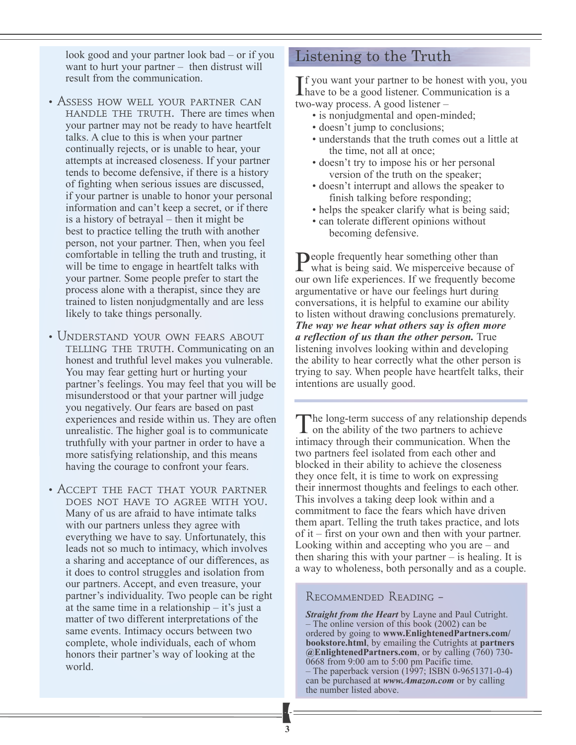look good and your partner look bad – or if you want to hurt your partner – then distrust will result from the communication.

- ASSESS HOW WELL YOUR PARTNER CAN handle the truth. There are times when your partner may not be ready to have heartfelt talks. A clue to this is when your partner continually rejects, or is unable to hear, your attempts at increased closeness. If your partner tends to become defensive, if there is a history of fighting when serious issues are discussed, if your partner is unable to honor your personal information and can't keep a secret, or if there is a history of betrayal – then it might be best to practice telling the truth with another person, not your partner. Then, when you feel comfortable in telling the truth and trusting, it will be time to engage in heartfelt talks with your partner. Some people prefer to start the process alone with a therapist, since they are trained to listen nonjudgmentally and are less likely to take things personally.
- UNDERSTAND YOUR OWN FEARS ABOUT telling the truth. Communicating on an honest and truthful level makes you vulnerable. You may fear getting hurt or hurting your partner's feelings. You may feel that you will be misunderstood or that your partner will judge you negatively. Our fears are based on past experiences and reside within us. They are often unrealistic. The higher goal is to communicate truthfully with your partner in order to have a more satisfying relationship, and this means having the courage to confront your fears.
- Accept the fact that your partner does not have to agree with you. Many of us are afraid to have intimate talks with our partners unless they agree with everything we have to say. Unfortunately, this leads not so much to intimacy, which involves a sharing and acceptance of our differences, as it does to control struggles and isolation from our partners. Accept, and even treasure, your partner's individuality. Two people can be right at the same time in a relationship – it's just a matter of two different interpretations of the same events. Intimacy occurs between two complete, whole individuals, each of whom honors their partner's way of looking at the world.

#### Listening to the Truth

If you want your partner to be honest with you, y<br>have to be a good listener. Communication is a f you want your partner to be honest with you, you two-way process. A good listener –

- is nonjudgmental and open-minded;
- doesn't jump to conclusions;
- understands that the truth comes out a little at the time, not all at once;
- doesn't try to impose his or her personal version of the truth on the speaker;
- doesn't interrupt and allows the speaker to finish talking before responding;
- helps the speaker clarify what is being said;
- can tolerate different opinions without becoming defensive.

People frequently hear something other than<br>what is being said. We said what is being said. We misperceive because of our own life experiences. If we frequently become argumentative or have our feelings hurt during conversations, it is helpful to examine our ability to listen without drawing conclusions prematurely. *The way we hear what others say is often more a reflection of us than the other person.* True listening involves looking within and developing the ability to hear correctly what the other person is trying to say. When people have heartfelt talks, their intentions are usually good.

The long-term success of any relationship depends<br>on the ability of the two partners to achieve intimacy through their communication. When the two partners feel isolated from each other and blocked in their ability to achieve the closeness they once felt, it is time to work on expressing their innermost thoughts and feelings to each other. This involves a taking deep look within and a commitment to face the fears which have driven them apart. Telling the truth takes practice, and lots of it – first on your own and then with your partner. Looking within and accepting who you are – and then sharing this with your partner – is healing. It is a way to wholeness, both personally and as a couple.

#### Recommended Reading –

*Straight from the Heart* by Layne and Paul Cutright. – The online version of this book (2002) can be ordered by going to **www.EnlightenedPartners.com/ bookstore.html**, by emailing the Cutrights at **partners @EnlightenedPartners.com**, or by calling (760) 730- 0668 from 9:00 am to 5:00 pm Pacific time. – The paperback version (1997; ISBN 0-9651371-0-4) can be purchased at *www.Amazon.com* or by calling the number listed above.